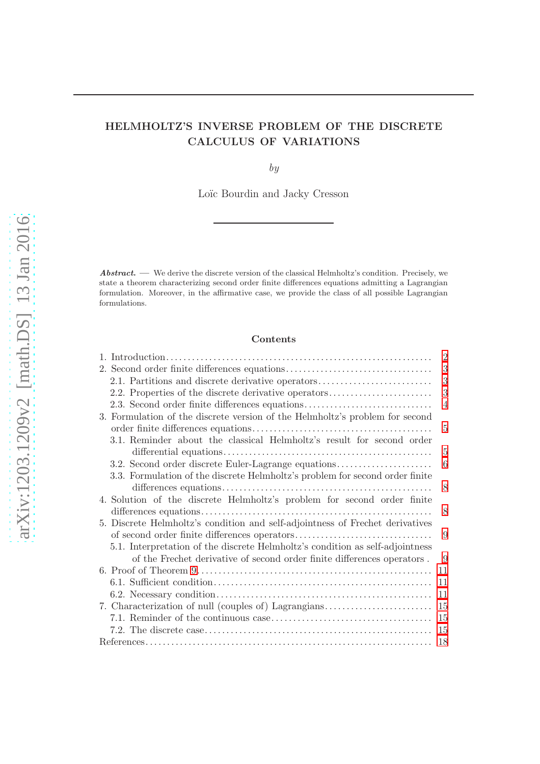# HELMHOLTZ'S INVERSE PROBLEM OF THE DISCRETE CALCULUS OF VARIATIONS

by

Loïc Bourdin and Jacky Cresson

Abstract. — We derive the discrete version of the classical Helmholtz's condition. Precisely, we state a theorem characterizing second order finite differences equations admitting a Lagrangian formulation. Moreover, in the affirmative case, we provide the class of all possible Lagrangian formulations.

### Contents

|                                                                               | $\overline{2}$ |
|-------------------------------------------------------------------------------|----------------|
|                                                                               | 3              |
| 2.1. Partitions and discrete derivative operators                             | 3              |
| 2.2. Properties of the discrete derivative operators                          | 3              |
| 2.3. Second order finite differences equations                                | $\overline{4}$ |
| 3. Formulation of the discrete version of the Helmholtz's problem for second  |                |
|                                                                               | 5              |
| 3.1. Reminder about the classical Helmholtz's result for second order         |                |
|                                                                               | 5              |
| 3.2. Second order discrete Euler-Lagrange equations                           | 6              |
| 3.3. Formulation of the discrete Helmholtz's problem for second order finite  |                |
|                                                                               | 8              |
| 4. Solution of the discrete Helmholtz's problem for second order finite       |                |
|                                                                               | 8              |
| 5. Discrete Helmholtz's condition and self-adjointness of Frechet derivatives |                |
|                                                                               | 9              |
| 5.1. Interpretation of the discrete Helmholtz's condition as self-adjointness |                |
| of the Frechet derivative of second order finite differences operators.       | 9              |
|                                                                               | 11             |
|                                                                               | 11             |
|                                                                               | 11             |
| 7. Characterization of null (couples of) Lagrangians                          | 15             |
|                                                                               | -15            |
|                                                                               | 15             |
|                                                                               |                |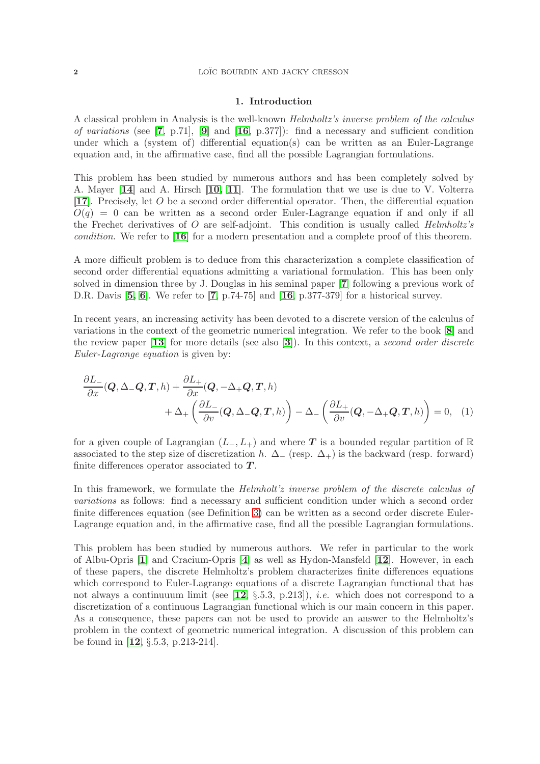#### 1. Introduction

<span id="page-1-0"></span>A classical problem in Analysis is the well-known Helmholtz's inverse problem of the calculus of variations (see [[7](#page-17-1), p.71], [[9](#page-17-2)] and  $[16, p.377]$  $[16, p.377]$  $[16, p.377]$ : find a necessary and sufficient condition under which a (system of) differential equation(s) can be written as an Euler-Lagrange equation and, in the affirmative case, find all the possible Lagrangian formulations.

This problem has been studied by numerous authors and has been completely solved by A. Mayer [[14](#page-18-1)] and A. Hirsch [[10,](#page-17-3) [11](#page-17-4)]. The formulation that we use is due to V. Volterra [[17](#page-18-2)]. Precisely, let O be a second order differential operator. Then, the differential equation  $O(q) = 0$  can be written as a second order Euler-Lagrange equation if and only if all the Frechet derivatives of  $O$  are self-adjoint. This condition is usually called *Helmholtz's* condition. We refer to [[16](#page-18-0)] for a modern presentation and a complete proof of this theorem.

A more difficult problem is to deduce from this characterization a complete classification of second order differential equations admitting a variational formulation. This has been only solved in dimension three by J. Douglas in his seminal paper [[7](#page-17-1)] following a previous work of D.R. Davis  $[5, 6]$  $[5, 6]$  $[5, 6]$  $[5, 6]$ . We refer to  $[7, p.74-75]$  $[7, p.74-75]$  $[7, p.74-75]$  and  $[16, p.377-379]$  $[16, p.377-379]$  $[16, p.377-379]$  for a historical survey.

In recent years, an increasing activity has been devoted to a discrete version of the calculus of variations in the context of the geometric numerical integration. We refer to the book [[8](#page-17-7)] and the review paper  $[13]$  $[13]$  $[13]$  for more details (see also  $[3]$  $[3]$  $[3]$ ). In this context, a second order discrete Euler-Lagrange equation is given by:

$$
\frac{\partial L_{-}}{\partial x}(Q, \Delta_{-}Q, T, h) + \frac{\partial L_{+}}{\partial x}(Q, -\Delta_{+}Q, T, h) + \Delta_{+}\left(\frac{\partial L_{-}}{\partial v}(Q, \Delta_{-}Q, T, h)\right) - \Delta_{-}\left(\frac{\partial L_{+}}{\partial v}(Q, -\Delta_{+}Q, T, h)\right) = 0, (1)
$$

for a given couple of Lagrangian  $(L_-, L_+)$  and where T is a bounded regular partition of R associated to the step size of discretization h.  $\Delta_{-}$  (resp.  $\Delta_{+}$ ) is the backward (resp. forward) finite differences operator associated to  $T$ .

In this framework, we formulate the *Helmholt'z inverse problem of the discrete calculus of* variations as follows: find a necessary and sufficient condition under which a second order finite differences equation (see Definition 3) can be written as a second order discrete Euler-Lagrange equation and, in the affirmative case, find all the possible Lagrangian formulations.

This problem has been studied by numerous authors. We refer in particular to the work of Albu-Opris [[1](#page-17-10)] and Cracium-Opris [[4](#page-17-11)] as well as Hydon-Mansfeld [[12](#page-17-12)]. However, in each of these papers, the discrete Helmholtz's problem characterizes finite differences equations which correspond to Euler-Lagrange equations of a discrete Lagrangian functional that has not always a continuuum limit (see  $[12, \S.5.3, p.213]$  $[12, \S.5.3, p.213]$  $[12, \S.5.3, p.213]$ ), *i.e.* which does not correspond to a discretization of a continuous Lagrangian functional which is our main concern in this paper. As a consequence, these papers can not be used to provide an answer to the Helmholtz's problem in the context of geometric numerical integration. A discussion of this problem can be found in [[12](#page-17-12), §.5.3, p.213-214].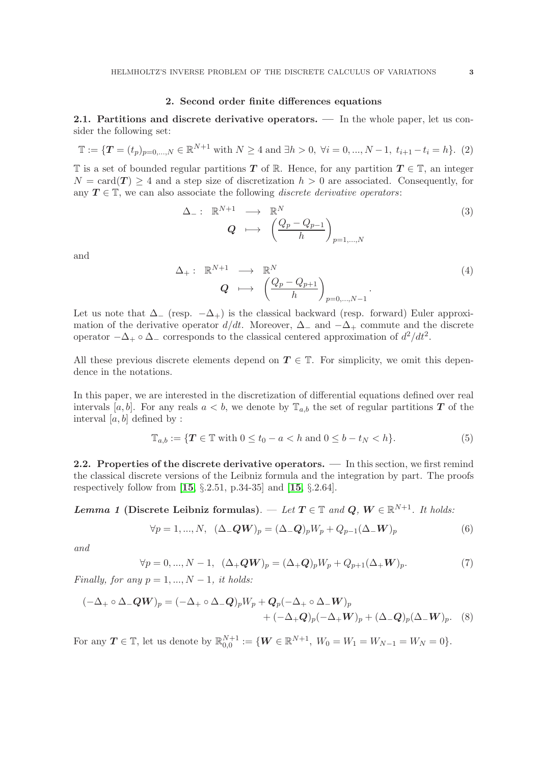#### 2. Second order finite differences equations

<span id="page-2-1"></span><span id="page-2-0"></span>2.1. Partitions and discrete derivative operators. — In the whole paper, let us consider the following set:

$$
\mathbb{T} := \{ \mathbf{T} = (t_p)_{p=0,\dots,N} \in \mathbb{R}^{N+1} \text{ with } N \ge 4 \text{ and } \exists h > 0, \ \forall i = 0,\dots,N-1, \ t_{i+1} - t_i = h \}. \tag{2}
$$

T is a set of bounded regular partitions T of R. Hence, for any partition  $T \in \mathbb{T}$ , an integer  $N = \text{card}(\mathbf{T}) > 4$  and a step size of discretization  $h > 0$  are associated. Consequently, for any  $T \in \mathbb{T}$ , we can also associate the following *discrete derivative operators*:

$$
\Delta_{-}: \mathbb{R}^{N+1} \longrightarrow \mathbb{R}^{N}
$$
\n
$$
Q \longrightarrow \left(\frac{Q_p - Q_{p-1}}{h}\right)_{p=1,\dots,N}
$$
\n(3)

and

$$
\Delta_{+}: \mathbb{R}^{N+1} \longrightarrow \mathbb{R}^{N}
$$
\n
$$
Q \longrightarrow \left(\frac{Q_{p} - Q_{p+1}}{h}\right)_{p=0,\ldots,N-1}.
$$
\n(4)

Let us note that  $\Delta_{-}$  (resp.  $-\Delta_{+}$ ) is the classical backward (resp. forward) Euler approximation of the derivative operator  $d/dt$ . Moreover,  $\Delta_{-}$  and  $-\Delta_{+}$  commute and the discrete operator  $-\Delta_+ \circ \Delta_-$  corresponds to the classical centered approximation of  $d^2/dt^2$ .

All these previous discrete elements depend on  $T \in \mathbb{T}$ . For simplicity, we omit this dependence in the notations.

In this paper, we are interested in the discretization of differential equations defined over real intervals [a, b]. For any reals  $a < b$ , we denote by  $\mathbb{T}_{a,b}$  the set of regular partitions **T** of the interval  $[a, b]$  defined by :

$$
\mathbb{T}_{a,b} := \{ \mathbf{T} \in \mathbb{T} \text{ with } 0 \le t_0 - a < h \text{ and } 0 \le b - t_N < h \}. \tag{5}
$$

<span id="page-2-2"></span>2.2. Properties of the discrete derivative operators. — In this section, we first remind the classical discrete versions of the Leibniz formula and the integration by part. The proofs respectively follow from  $[15, \S.2.51, p.34-35]$  $[15, \S.2.51, p.34-35]$  $[15, \S.2.51, p.34-35]$  and  $[15, \S.2.64]$ .

**Lemma 1** (Discrete Leibniz formulas). — Let  $T \in \mathbb{T}$  and  $Q, W \in \mathbb{R}^{N+1}$ . It holds:

$$
\forall p = 1, ..., N, \ (\Delta_{-}QW)_{p} = (\Delta_{-}Q)_{p}W_{p} + Q_{p-1}(\Delta_{-}W)_{p}
$$
(6)

and

$$
\forall p = 0, ..., N - 1, \ (\Delta_+ Q W)_p = (\Delta_+ Q)_p W_p + Q_{p+1} (\Delta_+ W)_p. \tag{7}
$$

Finally, for any  $p = 1, ..., N - 1$ , it holds:

$$
(-\Delta_+ \circ \Delta_- QW)_p = (-\Delta_+ \circ \Delta_- Q)_p W_p + Q_p (-\Delta_+ \circ \Delta_- W)_p
$$
  
+ 
$$
(-\Delta_+ Q)_p (-\Delta_+ W)_p + (\Delta_- Q)_p (\Delta_- W)_p. \quad (8)
$$

For any  $T \in \mathbb{T}$ , let us denote by  $\mathbb{R}_{0,0}^{N+1} := \{W \in \mathbb{R}^{N+1}, W_0 = W_1 = W_{N-1} = W_N = 0\}.$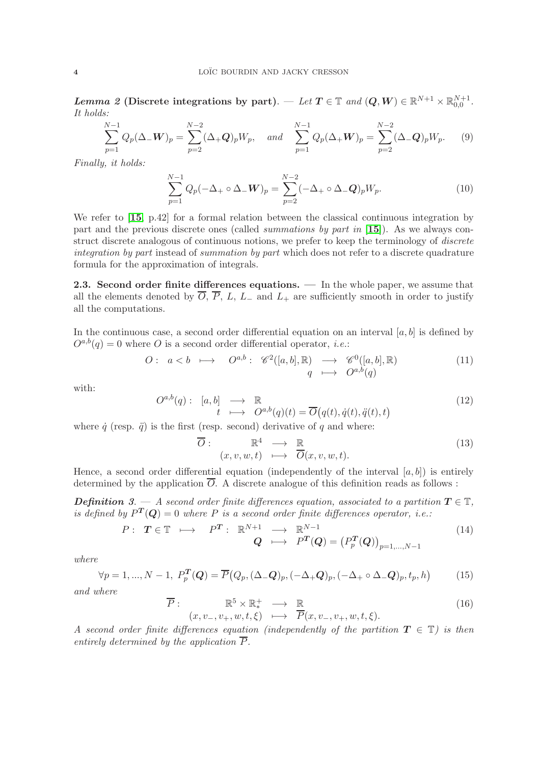$\textit{Lemma 2 (Discrete integrations by part).} \ \textit{$\quad \in \mathbb{T}$ and $(\boldsymbol{Q},\boldsymbol{W}) \in \mathbb{R}^{N+1} \times \mathbb{R}^{N+1}_{0,0}$}.$ It holds:

$$
\sum_{p=1}^{N-1} Q_p(\Delta_- \mathbf{W})_p = \sum_{p=2}^{N-2} (\Delta_+ \mathbf{Q})_p W_p, \quad \text{and} \quad \sum_{p=1}^{N-1} Q_p(\Delta_+ \mathbf{W})_p = \sum_{p=2}^{N-2} (\Delta_- \mathbf{Q})_p W_p. \tag{9}
$$

Finally, it holds:

$$
\sum_{p=1}^{N-1} Q_p(-\Delta_+ \circ \Delta_- \mathbf{W})_p = \sum_{p=2}^{N-2} (-\Delta_+ \circ \Delta_- \mathbf{Q})_p W_p.
$$
 (10)

We refer to [[15](#page-18-3), p.42] for a formal relation between the classical continuous integration by part and the previous discrete ones (called *summations by part in* [[15](#page-18-3)]). As we always construct discrete analogous of continuous notions, we prefer to keep the terminology of *discrete* integration by part instead of summation by part which does not refer to a discrete quadrature formula for the approximation of integrals.

<span id="page-3-0"></span>2.3. Second order finite differences equations. — In the whole paper, we assume that all the elements denoted by  $\overline{O}$ ,  $\overline{P}$ ,  $L$ ,  $L_{-}$  and  $L_{+}$  are sufficiently smooth in order to justify all the computations.

In the continuous case, a second order differential equation on an interval  $[a, b]$  is defined by  $O^{a,b}(q) = 0$  where O is a second order differential operator, *i.e.*:

$$
O: a < b \longmapsto O^{a,b}: \mathscr{C}^2([a,b], \mathbb{R}) \longrightarrow \mathscr{C}^0([a,b], \mathbb{R})
$$

$$
q \longmapsto O^{a,b}(q)
$$
(11)

with:

$$
O^{a,b}(q): [a,b] \longrightarrow \mathbb{R}
$$
  

$$
t \longmapsto O^{a,b}(q)(t) = \overline{O}(q(t), \dot{q}(t), \ddot{q}(t), t)
$$
 (12)

where  $\dot{q}$  (resp.  $\ddot{q}$ ) is the first (resp. second) derivative of q and where:

 $\overline{O}$ 

$$
\begin{array}{rcl}\n\colon & \mathbb{R}^4 & \longrightarrow & \mathbb{R} \\
(x, v, w, t) & \longmapsto & \overline{O}(x, v, w, t).\n\end{array} \tag{13}
$$

Hence, a second order differential equation (independently of the interval  $[a, b]$ ) is entirely determined by the application  $\overline{O}$ . A discrete analogue of this definition reads as follows:

**Definition** 3. — A second order finite differences equation, associated to a partition  $T \in \mathbb{T}$ , is defined by  $P^{T}(Q) = 0$  where P is a second order finite differences operator, i.e.:

$$
P: \ T \in \mathbb{T} \ \longmapsto \ P^T: \ \mathbb{R}^{N+1} \ \longrightarrow \ \mathbb{R}^{N-1}
$$
\n
$$
Q \ \longmapsto \ P^T(Q) = (P_p^T(Q))_{p=1,\dots,N-1}
$$
\n
$$
(14)
$$

where

$$
\forall p = 1, ..., N - 1, P_p^T(\boldsymbol{Q}) = \overline{P}(Q_p, (\Delta_{-}\boldsymbol{Q})_p, (-\Delta_{+}\boldsymbol{Q})_p, (-\Delta_{+}\circ \Delta_{-}\boldsymbol{Q})_p, t_p, h)
$$
(15)

and where

$$
\overline{P}: \mathbb{R}^5 \times \mathbb{R}_*^+ \longrightarrow \mathbb{R}
$$
  
 $(x, v_-, v_+, w, t, \xi) \longmapsto \overline{P}(x, v_-, v_+, w, t, \xi).$  (16)

A second order finite differences equation (independently of the partition  $T \in \mathbb{T}$ ) is then entirely determined by the application  $\overline{P}$ .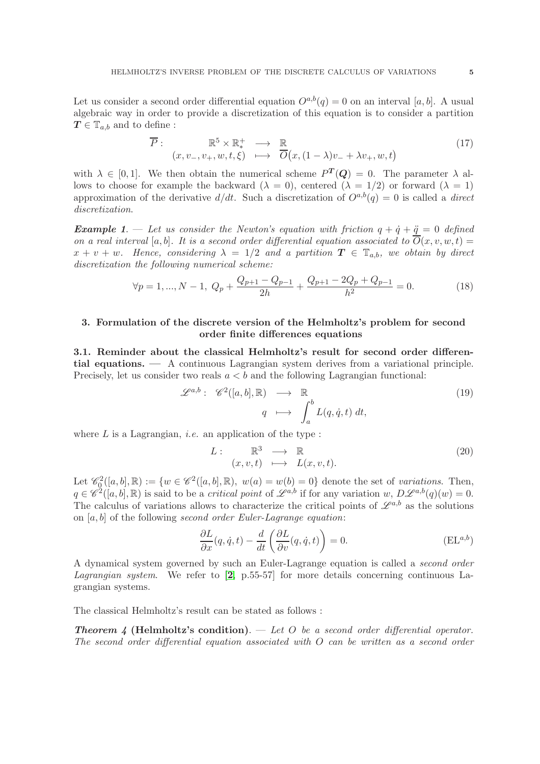Let us consider a second order differential equation  $O^{a,b}(q) = 0$  on an interval [a, b]. A usual algebraic way in order to provide a discretization of this equation is to consider a partition  $T \in \mathbb{T}_{a,b}$  and to define :

$$
\overline{P}: \mathbb{R}^5 \times \mathbb{R}_*^+ \longrightarrow \mathbb{R}
$$
  
 $(x, v_-, v_+, w, t, \xi) \longmapsto \overline{O}(x, (1 - \lambda)v_- + \lambda v_+, w, t)$  (17)

with  $\lambda \in [0,1]$ . We then obtain the numerical scheme  $P^{T}(Q) = 0$ . The parameter  $\lambda$  allows to choose for example the backward  $(\lambda = 0)$ , centered  $(\lambda = 1/2)$  or forward  $(\lambda = 1)$ approximation of the derivative  $d/dt$ . Such a discretization of  $O^{a,b}(q) = 0$  is called a direct discretization.

**Example 1.** — Let us consider the Newton's equation with friction  $q + \dot{q} + \ddot{q} = 0$  defined on a real interval [a, b]. It is a second order differential equation associated to  $O(x, v, w, t) =$  $x + v + w$ . Hence, considering  $\lambda = 1/2$  and a partition  $T \in \mathbb{T}_{a,b}$ , we obtain by direct discretization the following numerical scheme:

$$
\forall p = 1, ..., N - 1, \ Q_p + \frac{Q_{p+1} - Q_{p-1}}{2h} + \frac{Q_{p+1} - 2Q_p + Q_{p-1}}{h^2} = 0. \tag{18}
$$

# <span id="page-4-0"></span>3. Formulation of the discrete version of the Helmholtz's problem for second order finite differences equations

<span id="page-4-1"></span>3.1. Reminder about the classical Helmholtz's result for second order differential equations. — A continuous Lagrangian system derives from a variational principle. Precisely, let us consider two reals  $a < b$  and the following Lagrangian functional:

$$
\mathscr{L}^{a,b}: \mathscr{C}^2([a,b], \mathbb{R}) \longrightarrow \mathbb{R}
$$
  

$$
q \longmapsto \int_a^b L(q, \dot{q}, t) dt,
$$
 (19)

where  $L$  is a Lagrangian, *i.e.* an application of the type :

$$
L: \mathbb{R}^3 \longrightarrow \mathbb{R}
$$
  
\n $(x, v, t) \longmapsto L(x, v, t).$  (20)

Let  $\mathscr{C}_{\mathfrak{Q}}^2([a,b],\mathbb{R}) := \{w \in \mathscr{C}^2([a,b],\mathbb{R}), w(a) = w(b) = 0\}$  denote the set of variations. Then,  $q \in \mathscr{C}^2([a, b], \mathbb{R})$  is said to be a *critical point* of  $\mathscr{L}^{a,b}$  if for any variation w,  $D\mathscr{L}^{a,b}(q)(w) = 0$ . The calculus of variations allows to characterize the critical points of  $\mathscr{L}^{a,b}$  as the solutions on  $[a, b]$  of the following second order Euler-Lagrange equation:

<span id="page-4-2"></span>
$$
\frac{\partial L}{\partial x}(q, \dot{q}, t) - \frac{d}{dt} \left( \frac{\partial L}{\partial v}(q, \dot{q}, t) \right) = 0.
$$
 (EL<sup>a, b</sup>)

A dynamical system governed by such an Euler-Lagrange equation is called a second order *Lagrangian system.* We refer to  $[2, p.55-57]$  $[2, p.55-57]$  $[2, p.55-57]$  for more details concerning continuous Lagrangian systems.

The classical Helmholtz's result can be stated as follows :

**Theorem 4 (Helmholtz's condition).** — Let O be a second order differential operator. The second order differential equation associated with  $O$  can be written as a second order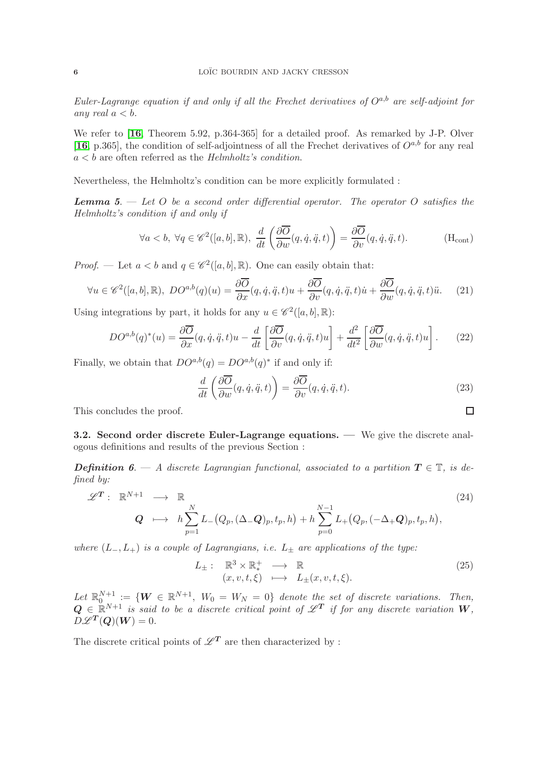Euler-Lagrange equation if and only if all the Frechet derivatives of  $O^{a,b}$  are self-adjoint for any real  $a < b$ .

We refer to [[16](#page-18-0), Theorem 5.92, p.364-365] for a detailed proof. As remarked by J-P. Olver [[16](#page-18-0), p.365], the condition of self-adjointness of all the Frechet derivatives of  $O^{a,b}$  for any real  $a < b$  are often referred as the Helmholtz's condition.

Nevertheless, the Helmholtz's condition can be more explicitly formulated :

**Lemma 5.** — Let O be a second order differential operator. The operator O satisfies the Helmholtz's condition if and only if

$$
\forall a < b, \ \forall q \in \mathscr{C}^2([a, b], \mathbb{R}), \ \frac{d}{dt} \left( \frac{\partial \overline{O}}{\partial w}(q, \dot{q}, \ddot{q}, t) \right) = \frac{\partial \overline{O}}{\partial v}(q, \dot{q}, \ddot{q}, \ddot{q}, t). \tag{Hcont}
$$

*Proof.* — Let  $a < b$  and  $q \in \mathcal{C}^2([a, b], \mathbb{R})$ . One can easily obtain that:

$$
\forall u \in \mathscr{C}^2([a,b],\mathbb{R}), \ DO^{a,b}(q)(u) = \frac{\partial \overline{O}}{\partial x}(q,\dot{q},\ddot{q},t)u + \frac{\partial \overline{O}}{\partial v}(q,\dot{q},\ddot{q},t)\dot{u} + \frac{\partial \overline{O}}{\partial w}(q,\dot{q},\ddot{q},t)\ddot{u}. \tag{21}
$$

Using integrations by part, it holds for any  $u \in \mathscr{C}^2([a, b], \mathbb{R})$ :

$$
DO^{a,b}(q)^{*}(u) = \frac{\partial \overline{O}}{\partial x}(q, \dot{q}, \ddot{q}, t)u - \frac{d}{dt} \left[ \frac{\partial \overline{O}}{\partial v}(q, \dot{q}, \ddot{q}, t)u \right] + \frac{d^{2}}{dt^{2}} \left[ \frac{\partial \overline{O}}{\partial w}(q, \dot{q}, \ddot{q}, t)u \right].
$$
 (22)

Finally, we obtain that  $DO^{a,b}(q) = DO^{a,b}(q)^*$  if and only if:

$$
\frac{d}{dt}\left(\frac{\partial \overline{O}}{\partial w}(q,\dot{q},\ddot{q},t)\right) = \frac{\partial \overline{O}}{\partial v}(q,\dot{q},\ddot{q},t).
$$
\n(23)

<span id="page-5-1"></span> $\Box$ 

This concludes the proof.

<span id="page-5-0"></span>3.2. Second order discrete Euler-Lagrange equations. — We give the discrete analogous definitions and results of the previous Section :

**Definition 6.** — A discrete Lagrangian functional, associated to a partition  $T \in \mathbb{T}$ , is defined by:

$$
\mathscr{L}^{\mathbf{T}}: \mathbb{R}^{N+1} \longrightarrow \mathbb{R}
$$
\n
$$
\mathbf{Q} \longmapsto h \sum_{p=1}^{N} L_{-}(Q_{p}, (\Delta_{-}\mathbf{Q})_{p}, t_{p}, h) + h \sum_{p=0}^{N-1} L_{+}(Q_{p}, (-\Delta_{+}\mathbf{Q})_{p}, t_{p}, h),
$$
\n(24)

where  $(L_-, L_+)$  is a couple of Lagrangians, i.e.  $L_{\pm}$  are applications of the type:

$$
L_{\pm}: \mathbb{R}^3 \times \mathbb{R}^+ \longrightarrow \mathbb{R}
$$
  
\n
$$
(x, v, t, \xi) \longmapsto L_{\pm}(x, v, t, \xi).
$$
 (25)

Let  $\mathbb{R}^{N+1}_{0} := \{ \mathbf{W} \in \mathbb{R}^{N+1}, W_0 = W_N = 0 \}$  denote the set of discrete variations. Then,  $Q \in \mathbb{R}^{N+1}$  is said to be a discrete critical point of  $\mathscr{L}^T$  if for any discrete variation  $W$ ,  $D\mathscr{L}^T(Q)(W) = 0.$ 

The discrete critical points of  $\mathscr{L}^{\pmb{T}}$  are then characterized by :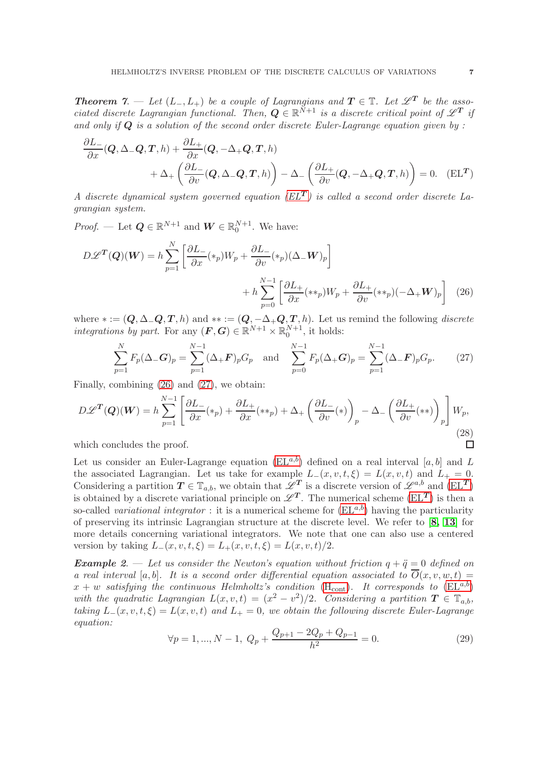**Theorem 7.** — Let  $(L_-, L_+)$  be a couple of Lagrangians and  $T \in \mathbb{T}$ . Let  $\mathscr{L}^T$  be the associated discrete Lagrangian functional. Then,  $Q \in \mathbb{R}^{\tilde{N}+1}$  is a discrete critical point of  $\mathscr{L}^T$  if and only if  $Q$  is a solution of the second order discrete Euler-Lagrange equation given by:

$$
\frac{\partial L_{-}}{\partial x}(\mathbf{Q}, \Delta_{-}\mathbf{Q}, \mathbf{T}, h) + \frac{\partial L_{+}}{\partial x}(\mathbf{Q}, -\Delta_{+}\mathbf{Q}, \mathbf{T}, h) + \Delta_{+}\left(\frac{\partial L_{-}}{\partial v}(\mathbf{Q}, \Delta_{-}\mathbf{Q}, \mathbf{T}, h)\right) - \Delta_{-}\left(\frac{\partial L_{+}}{\partial v}(\mathbf{Q}, -\Delta_{+}\mathbf{Q}, \mathbf{T}, h)\right) = 0. \quad (EL^{T})
$$

A discrete dynamical system governed equation  $(EL<sup>T</sup>)$  is called a second order discrete Lagrangian system.

*Proof.* — Let  $Q \in \mathbb{R}^{N+1}$  and  $W \in \mathbb{R}^{N+1}_0$ . We have:

$$
D\mathcal{L}^{T}(Q)(W) = h \sum_{p=1}^{N} \left[ \frac{\partial L_{-}}{\partial x} (\ast_{p}) W_{p} + \frac{\partial L_{-}}{\partial v} (\ast_{p}) (\Delta_{-} W)_{p} \right] + h \sum_{p=0}^{N-1} \left[ \frac{\partial L_{+}}{\partial x} (\ast \ast_{p}) W_{p} + \frac{\partial L_{+}}{\partial v} (\ast \ast_{p}) (-\Delta_{+} W)_{p} \right] \tag{26}
$$

where  $* := (Q, \Delta - Q, T, h)$  and  $** := (Q, -\Delta + Q, T, h)$ . Let us remind the following *discrete* integrations by part. For any  $(F, G) \in \mathbb{R}^{N+1} \times \mathbb{R}^{N+1}_0$ , it holds:

<span id="page-6-2"></span>
$$
\sum_{p=1}^{N} F_p(\Delta - G)_p = \sum_{p=1}^{N-1} (\Delta + F)_p G_p \text{ and } \sum_{p=0}^{N-1} F_p(\Delta + G)_p = \sum_{p=1}^{N-1} (\Delta - F)_p G_p. \tag{27}
$$

Finally, combining [\(26\)](#page-6-1) and [\(27\)](#page-6-2), we obtain:

$$
D\mathscr{L}^T(Q)(W) = h \sum_{p=1}^{N-1} \left[ \frac{\partial L_-}{\partial x}(*_p) + \frac{\partial L_+}{\partial x}(**_p) + \Delta_+ \left( \frac{\partial L_-}{\partial v}(*) \right)_p - \Delta_- \left( \frac{\partial L_+}{\partial v}(**) \right)_p \right] W_p,
$$
\n(28)

which concludes the proof.

Let us consider an Euler-Lagrange equation  $(EL^{a,b})$  defined on a real interval [a, b] and L the associated Lagrangian. Let us take for example  $L_-(x, v, t, \xi) = L(x, v, t)$  and  $L_+ = 0$ . Considering a partition  $T \in \mathbb{T}_{a,b}$ , we obtain that  $\mathscr{L}^T$  is a discrete version of  $\mathscr{L}^{a,b}$  and  $(EL^T)$ is obtained by a discrete variational principle on  $\mathscr{L}^T$ . The numerical scheme [\(EL](#page-6-0)T) is then a so-called variational integrator : it is a numerical scheme for  $(EL^{a,b})$  having the particularity of preserving its intrinsic Lagrangian structure at the discrete level. We refer to [[8,](#page-17-7) [13](#page-17-8)] for more details concerning variational integrators. We note that one can also use a centered version by taking  $L_-(x, v, t, \xi) = L_+(x, v, t, \xi) = L(x, v, t)/2$ .

**Example 2.** — Let us consider the Newton's equation without friction  $q + \ddot{q} = 0$  defined on a real interval [a, b]. It is a second order differential equation associated to  $\overline{O}(x, v, w, t) =$  $x + w$  satisfying the [cont](#page-5-1)inuous Helmholtz's condition (H<sub>cont</sub>). It corresponds to [\(EL](#page-4-2)<sup>a,b</sup>) with the quadratic Lagrangian  $L(x, v, t) = (x^2 - v^2)/2$ . Considering a partition  $T \in \mathbb{T}_{a,b}$ , taking  $L_-(x, v, t, \xi) = L(x, v, t)$  and  $L_+ = 0$ , we obtain the following discrete Euler-Lagrange equation:

<span id="page-6-3"></span>
$$
\forall p = 1, ..., N - 1, \ Q_p + \frac{Q_{p+1} - 2Q_p + Q_{p-1}}{h^2} = 0. \tag{29}
$$

<span id="page-6-1"></span><span id="page-6-0"></span> $\Box$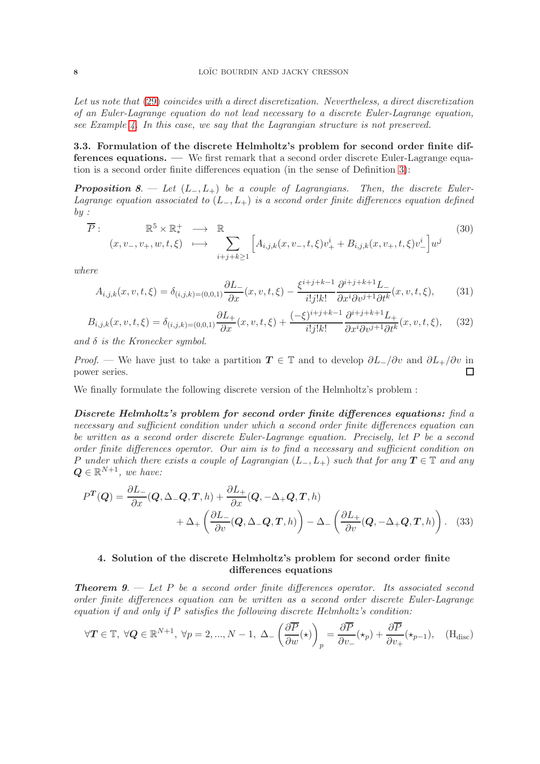Let us note that [\(29\)](#page-6-3) coincides with a direct discretization. Nevertheless, a direct discretization of an Euler-Lagrange equation do not lead necessary to a discrete Euler-Lagrange equation, see Example 4. In this case, we say that the Lagrangian structure is not preserved.

<span id="page-7-0"></span>3.3. Formulation of the discrete Helmholtz's problem for second order finite differences equations. — We first remark that a second order discrete Euler-Lagrange equation is a second order finite differences equation (in the sense of Definition 3):

**Proposition 8.** — Let  $(L_-, L_+)$  be a couple of Lagrangians. Then, the discrete Euler-Lagrange equation associated to  $(L_-, L_+)$  is a second order finite differences equation defined  $by:$ 

<span id="page-7-3"></span>
$$
\overline{P}: \mathbb{R}^5 \times \mathbb{R}_*^+ \longrightarrow \mathbb{R} \tag{30}
$$
\n
$$
(x, v_-, v_+, w, t, \xi) \longmapsto \sum_{i+j+k \ge 1} \left[ A_{i,j,k}(x, v_-, t, \xi) v_+^i + B_{i,j,k}(x, v_+, t, \xi) v_-^i \right] w^j
$$

where

$$
A_{i,j,k}(x,v,t,\xi) = \delta_{(i,j,k)=(0,0,1)} \frac{\partial L}{\partial x}(x,v,t,\xi) - \frac{\xi^{i+j+k-1}}{i!j!k!} \frac{\partial^{i+j+k+1} L}{\partial x^i \partial v^{j+1} \partial t^k}(x,v,t,\xi),\tag{31}
$$

$$
B_{i,j,k}(x,v,t,\xi) = \delta_{(i,j,k)=(0,0,1)} \frac{\partial L_+}{\partial x}(x,v,t,\xi) + \frac{(-\xi)^{i+j+k-1}}{i!j!k!} \frac{\partial^{i+j+k+1} L_+}{\partial x^i \partial v^{j+1} \partial t^k}(x,v,t,\xi), \quad (32)
$$

and  $\delta$  is the Kronecker symbol.

*Proof.* — We have just to take a partition  $T \in \mathbb{T}$  and to develop  $\partial L_{-}/\partial v$  and  $\partial L_{+}/\partial v$  in power series.  $\Box$ 

We finally formulate the following discrete version of the Helmholtz's problem :

Discrete Helmholtz's problem for second order finite differences equations: find a necessary and sufficient condition under which a second order finite differences equation can be written as a second order discrete Euler-Lagrange equation. Precisely, let P be a second order finite differences operator. Our aim is to find a necessary and sufficient condition on P under which there exists a couple of Lagrangian  $(L_-, L_+)$  such that for any  $T \in \mathbb{T}$  and any  $\boldsymbol{Q} \in \mathbb{R}^{N+1}$ , we have:

$$
P^{T}(Q) = \frac{\partial L_{-}}{\partial x}(Q, \Delta_{-}Q, T, h) + \frac{\partial L_{+}}{\partial x}(Q, -\Delta_{+}Q, T, h) + \Delta_{+} \left(\frac{\partial L_{-}}{\partial v}(Q, \Delta_{-}Q, T, h)\right) - \Delta_{-} \left(\frac{\partial L_{+}}{\partial v}(Q, -\Delta_{+}Q, T, h)\right). \quad (33)
$$

## <span id="page-7-2"></span><span id="page-7-1"></span>4. Solution of the discrete Helmholtz's problem for second order finite differences equations

**Theorem 9.**  $\rightarrow$  Let P be a second order finite differences operator. Its associated second order finite differences equation can be written as a second order discrete Euler-Lagrange equation if and only if  $P$  satisfies the following discrete Helmholtz's condition:

$$
\forall \mathbf{T} \in \mathbb{T}, \ \forall \mathbf{Q} \in \mathbb{R}^{N+1}, \ \forall p = 2, ..., N-1, \ \Delta_{-} \left( \frac{\partial \overline{P}}{\partial w}(\star) \right)_{p} = \frac{\partial \overline{P}}{\partial v_{-}}(\star_{p}) + \frac{\partial \overline{P}}{\partial v_{+}}(\star_{p-1}), \quad (\text{H}_{\text{disc}})
$$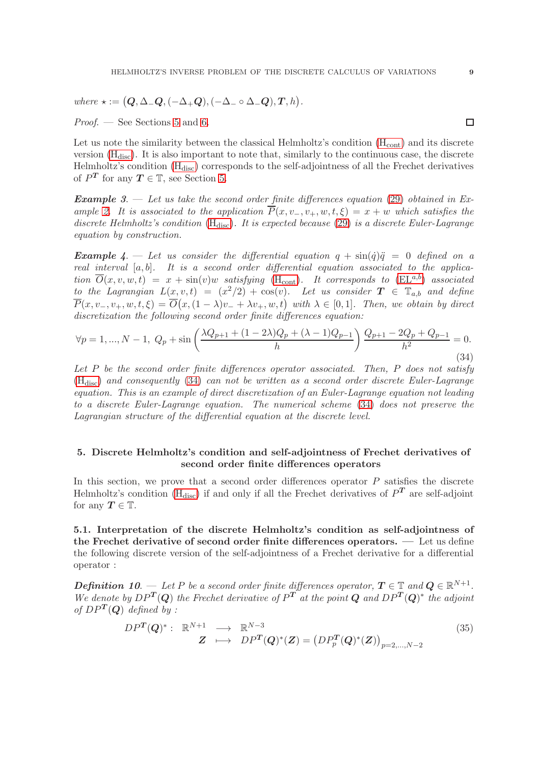where  $\star := (Q, \Delta \_Q, (-\Delta + Q), (-\Delta \_ \circ \Delta \_Q), T, h)$ .

*Proof.* — See Sections [5](#page-8-0) and [6.](#page-10-0)

Let us note the similarity between the classical Helmholtz's condition  $(H_{cont})$  $(H_{cont})$  $(H_{cont})$  and its discrete version  $(H_{\text{disc}})$  $(H_{\text{disc}})$  $(H_{\text{disc}})$ . It is also important to note that, similarly to the continuous case, the discrete Helmholtz's condition [\(H](#page-7-2)<sub>disc</sub>) corresponds to the self-adjointness of all the Frechet derivatives of  $P^T$  for any  $T \in \mathbb{T}$ , see Section [5.](#page-8-0)

**Example 3.** — Let us take the second order finite differences equation [\(29\)](#page-6-3) obtained in Example 2. It is associated to the application  $\overline{P}(x, v_-, v_+, w, t, \xi) = x + w$  which satisfies the discrete Helmholtz's condition  $(H_{disc})$  $(H_{disc})$ . It is expected because [\(29\)](#page-6-3) is a discrete Euler-Lagrange equation by construction.

**Example 4.** — Let us consider the differential equation  $q + \sin(\dot{q})\ddot{q} = 0$  defined on a real interval  $[a, b]$ . It is a second order differential equation associated to the application  $\overline{O}(x, v, w, t) = x + \sin(v)w$  satisfying (H<sub>[cont](#page-5-1)</sub>). It corresponds to [\(EL](#page-4-2)<sup>a,b</sup>) associated to the Lagrangian  $L(x, v, t) = (x^2/2) + \cos(v)$ . Let us consider  $T \in \mathbb{T}_{a,b}$  and define  $\overline{P}(x, v_-, v_+, w, t, \xi) = \overline{O}(x, (1 - \lambda)v_+ + \lambda v_+, w, t)$  with  $\lambda \in [0, 1]$ . Then, we obtain by direct discretization the following second order finite differences equation:

<span id="page-8-2"></span>
$$
\forall p = 1, ..., N - 1, \ Q_p + \sin\left(\frac{\lambda Q_{p+1} + (1 - 2\lambda)Q_p + (\lambda - 1)Q_{p-1}}{h}\right) \frac{Q_{p+1} - 2Q_p + Q_{p-1}}{h^2} = 0.
$$
\n(34)

Let  $P$  be the second order finite differences operator associated. Then,  $P$  does not satisfy  $(H<sub>disc</sub>)$  $(H<sub>disc</sub>)$  and consequently [\(34\)](#page-8-2) can not be written as a second order discrete Euler-Lagrange equation. This is an example of direct discretization of an Euler-Lagrange equation not leading to a discrete Euler-Lagrange equation. The numerical scheme [\(34\)](#page-8-2) does not preserve the Lagrangian structure of the differential equation at the discrete level.

# <span id="page-8-0"></span>5. Discrete Helmholtz's condition and self-adjointness of Frechet derivatives of second order finite differences operators

In this section, we prove that a second order differences operator  $P$  satisfies the discrete Helmholtz's condition ( $H_{disc}$ ) if and only if all the Frechet derivatives of  $P<sup>T</sup>$  are self-adjoint for any  $T \in \mathbb{T}$ .

<span id="page-8-1"></span>5.1. Interpretation of the discrete Helmholtz's condition as self-adjointness of the Frechet derivative of second order finite differences operators. — Let us define the following discrete version of the self-adjointness of a Frechet derivative for a differential operator :

**Definition 10.** — Let P be a second order finite differences operator,  $T \in \mathbb{T}$  and  $Q \in \mathbb{R}^{N+1}$ . We denote by  $DP^T(Q)$  the Frechet derivative of  $P^{T^*}$  at the point Q and  $DP^T(Q)^*$  the adjoint of  $DP^T(Q)$  defined by :

$$
DPT(Q)*: \mathbb{R}^{N+1} \longrightarrow \mathbb{R}^{N-3}
$$
  

$$
Z \longrightarrow DPT(Q)*(Z) = (DPpT(Q)*(Z))p=2,...,N-2
$$
 (35)

 $\Box$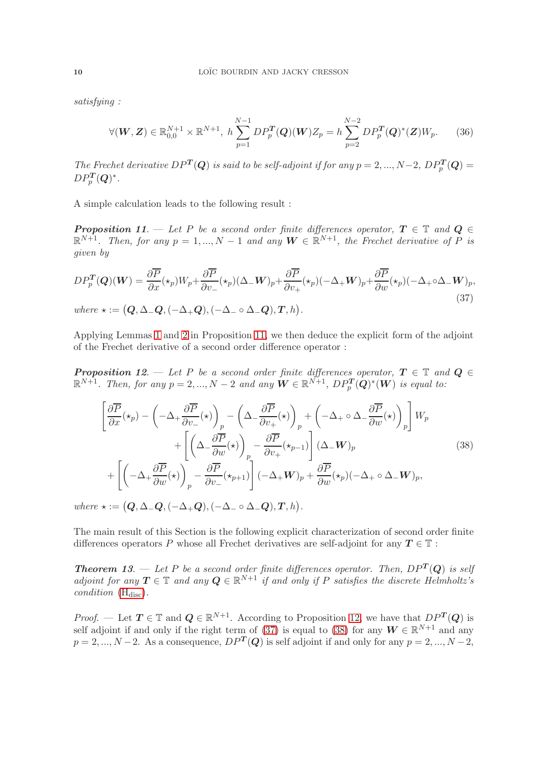satisfying :

$$
\forall (W, Z) \in \mathbb{R}_{0,0}^{N+1} \times \mathbb{R}^{N+1}, \ h \sum_{p=1}^{N-1} DP_p^T(Q)(W)Z_p = h \sum_{p=2}^{N-2} DP_p^T(Q)^*(Z)W_p. \tag{36}
$$

The Frechet derivative  $DP^T(Q)$  is said to be self-adjoint if for any  $p = 2, ..., N-2$ ,  $DP^T_p(Q) =$  $DP_p^T(Q)^*.$ 

A simple calculation leads to the following result :

**Proposition 11.** — Let P be a second order finite differences operator,  $T \in \mathbb{T}$  and  $Q \in$  $\mathbb{R}^{N+1}$ . Then, for any  $p = 1, ..., N-1$  and any  $W \in \mathbb{R}^{N+1}$ , the Frechet derivative of P is given by

<span id="page-9-0"></span>
$$
DP_p^T(Q)(W) = \frac{\partial \overline{P}}{\partial x}(\star_p)W_p + \frac{\partial \overline{P}}{\partial v_-}(\star_p)(\Delta_{-}W)_p + \frac{\partial \overline{P}}{\partial v_+}(\star_p)(-\Delta_{+}W)_p + \frac{\partial \overline{P}}{\partial w}(\star_p)(-\Delta_{+}\circ\Delta_{-}W)_p,
$$
  
where  $\star := (Q, \Delta_{-}Q, (-\Delta_{+}Q), (-\Delta_{-}\circ\Delta_{-}Q), T, h).$  (37)

Applying Lemmas 1 and 2 in Proposition 11, we then deduce the explicit form of the adjoint of the Frechet derivative of a second order difference operator :

**Proposition 12.** — Let P be a second order finite differences operator,  $T \in \mathbb{T}$  and  $Q \in$  $\mathbb{R}^{N+1}$ . Then, for any  $p = 2, ..., N-2$  and any  $\mathbf{W} \in \mathbb{R}^{N+1}$ ,  $DP_p^{\mathbf{T}}(\mathbf{Q})^*(\mathbf{W})$  is equal to:

<span id="page-9-1"></span>
$$
\left[\frac{\partial \overline{P}}{\partial x}(\star_{p}) - \left(-\Delta_{+} \frac{\partial \overline{P}}{\partial v_{-}}(\star)\right)_{p} - \left(\Delta_{-} \frac{\partial \overline{P}}{\partial v_{+}}(\star)\right)_{p} + \left(-\Delta_{+} \circ \Delta_{-} \frac{\partial \overline{P}}{\partial w}(\star)\right)_{p}\right] W_{p} + \left[\left(\Delta_{-} \frac{\partial \overline{P}}{\partial w}(\star)\right)_{p} - \frac{\partial \overline{P}}{\partial v_{+}}(\star_{p-1})\right] (\Delta_{-} W)_{p} + \left[\left(-\Delta_{+} \frac{\partial \overline{P}}{\partial w}(\star)\right)_{p} - \frac{\partial \overline{P}}{\partial v_{-}}(\star_{p+1})\right] (-\Delta_{+} W)_{p} + \frac{\partial \overline{P}}{\partial w}(\star_{p}) (-\Delta_{+} \circ \Delta_{-} W)_{p},
$$
\n(38)

where  $\star := (Q, \Delta \Box Q, (-\Delta_{+} Q), (-\Delta \Box \circ \Delta \Box Q), T, h)$ .

The main result of this Section is the following explicit characterization of second order finite differences operators P whose all Frechet derivatives are self-adjoint for any  $T \in \mathbb{T}$ :

**Theorem 13.** — Let P be a second order finite differences operator. Then,  $DP^{T}(Q)$  is self adjoint for any  $T \in \mathbb{T}$  and any  $Q \in \mathbb{R}^{N+1}$  if and only if P satisfies the discrete Helmholtz's condition  $(H<sub>disc</sub>)$  $(H<sub>disc</sub>)$ .

*Proof.* — Let  $T \in \mathbb{T}$  and  $Q \in \mathbb{R}^{N+1}$ . According to Proposition 12, we have that  $DP^T(Q)$  is self adjoint if and only if the right term of [\(37\)](#page-9-0) is equal to [\(38\)](#page-9-1) for any  $W \in \mathbb{R}^{N+1}$  and any  $p = 2, ..., N-2$ . As a consequence,  $DP<sup>T</sup>(Q)$  is self adjoint if and only for any  $p = 2, ..., N-2$ ,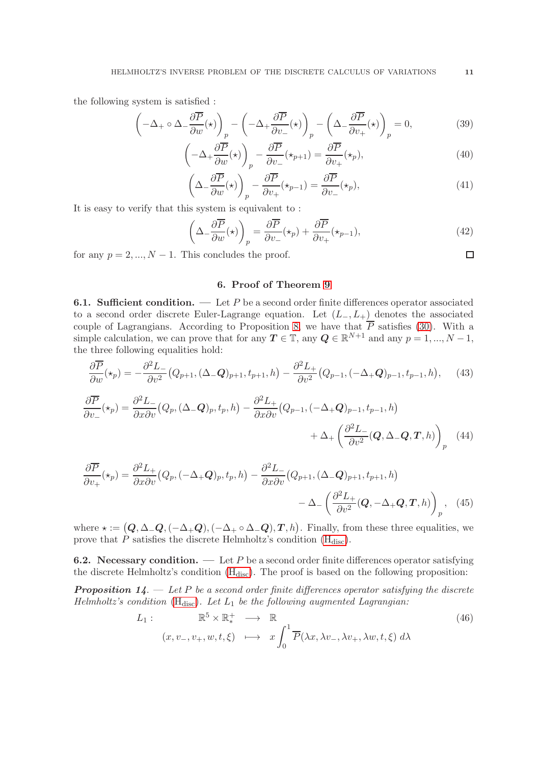the following system is satisfied :

$$
\left(-\Delta_{+} \circ \Delta_{-} \frac{\partial \overline{P}}{\partial w}(\star)\right)_{p} - \left(-\Delta_{+} \frac{\partial \overline{P}}{\partial v_{-}}(\star)\right)_{p} - \left(\Delta_{-} \frac{\partial \overline{P}}{\partial v_{+}}(\star)\right)_{p} = 0, \tag{39}
$$

$$
\left(-\Delta_{+} \frac{\partial P}{\partial w}(\star)\right)_{p} - \frac{\partial P}{\partial v_{-}}(\star_{p+1}) = \frac{\partial P}{\partial v_{+}}(\star_{p}),\tag{40}
$$

$$
\left(\Delta - \frac{\partial \overline{P}}{\partial w}(\star)\right)_p - \frac{\partial \overline{P}}{\partial v_+}(\star_{p-1}) = \frac{\partial \overline{P}}{\partial v_-}(\star_p),\tag{41}
$$

It is easy to verify that this system is equivalent to :

$$
\left(\Delta_{-} \frac{\partial \overline{P}}{\partial w}(\star)\right)_{p} = \frac{\partial \overline{P}}{\partial v_{-}}(\star_{p}) + \frac{\partial \overline{P}}{\partial v_{+}}(\star_{p-1}),\tag{42}
$$

<span id="page-10-0"></span>for any  $p = 2, ..., N - 1$ . This concludes the proof.

## 6. Proof of Theorem 9

<span id="page-10-1"></span>**6.1. Sufficient condition.** — Let P be a second order finite differences operator associated to a second order discrete Euler-Lagrange equation. Let  $(L_-, L_+)$  denotes the associated couple of Lagrangians. According to Proposition 8, we have that  $P$  satisfies [\(30\)](#page-7-3). With a simple calculation, we can prove that for any  $T \in \mathbb{T}$ , any  $Q \in \mathbb{R}^{N+1}$  and any  $p = 1, ..., N-1$ , the three following equalities hold:

$$
\frac{\partial \overline{P}}{\partial w}(\star_p) = -\frac{\partial^2 L}{\partial v^2} \big(Q_{p+1}, (\Delta_- \mathbf{Q})_{p+1}, t_{p+1}, h\big) - \frac{\partial^2 L_+}{\partial v^2} \big(Q_{p-1}, (-\Delta_+ \mathbf{Q})_{p-1}, t_{p-1}, h\big), \quad (43)
$$

$$
\frac{\partial \overline{P}}{\partial v_{-}}(\star_{p}) = \frac{\partial^{2} L_{-}}{\partial x \partial v} (Q_{p}, (\Delta_{-}Q)_{p}, t_{p}, h) - \frac{\partial^{2} L_{+}}{\partial x \partial v} (Q_{p-1}, (-\Delta_{+}Q)_{p-1}, t_{p-1}, h) + \Delta_{+} \left( \frac{\partial^{2} L_{-}}{\partial v^{2}} (Q, \Delta_{-}Q, T, h) \right)_{p}
$$
(44)

$$
\frac{\partial \overline{P}}{\partial v_{+}}(\star_{p}) = \frac{\partial^{2} L_{+}}{\partial x \partial v} (Q_{p}, (-\Delta_{+} Q)_{p}, t_{p}, h) - \frac{\partial^{2} L_{-}}{\partial x \partial v} (Q_{p+1}, (\Delta_{-} Q)_{p+1}, t_{p+1}, h) - \Delta_{-} \left( \frac{\partial^{2} L_{+}}{\partial v^{2}} (Q, -\Delta_{+} Q, T, h) \right)_{p}, \quad (45)
$$

where  $\star := (Q, \Delta_{-}Q, (-\Delta_{+}Q), (-\Delta_{+} \circ \Delta_{-}Q), T, h)$ . Finally, from these three equalities, we prove that  $P$  satisfies the discrete Helmholtz's condition  $(H_{disc})$ .

<span id="page-10-2"></span>**6.2. Necessary condition.** — Let  $P$  be a second order finite differences operator satisfying the [disc](#page-7-2)rete Helmholtz's condition  $(H_{disc})$ . The proof is based on the following proposition:

**Proposition 14.**  $-$  Let P be a second order finite differences operator satisfying the discrete Helmholtz's condition  $(H_{disc})$  $(H_{disc})$ . Let  $L_1$  be the following augmented Lagrangian:

$$
L_1: \mathbb{R}^5 \times \mathbb{R}_*^+ \longrightarrow \mathbb{R}
$$
  

$$
(x, v_-, v_+, w, t, \xi) \longmapsto x \int_0^1 \overline{P}(\lambda x, \lambda v_-, \lambda v_+, \lambda w, t, \xi) d\lambda
$$
 (46)

 $\Box$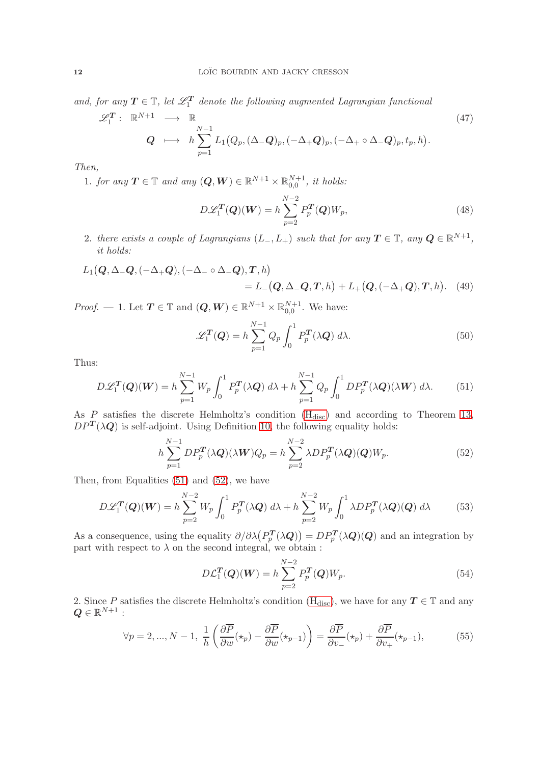and, for any  $T \in \mathbb{T}$ , let  $\mathscr{L}_1^T$  denote the following augmented Lagrangian functional

$$
\mathscr{L}_1^T: \mathbb{R}^{N+1} \longrightarrow \mathbb{R}
$$
\n
$$
Q \longrightarrow h \sum_{p=1}^{N-1} L_1(Q_p, (\Delta - Q)_p, (-\Delta + Q)_p, (-\Delta_+ \circ \Delta_- Q)_p, t_p, h).
$$
\n
$$
(47)
$$

Then,

1. for any  $T \in \mathbb{T}$  and any  $(Q, W) \in \mathbb{R}^{N+1} \times \mathbb{R}_{0,0}^{N+1}$ , it holds:

$$
D\mathcal{L}_1^T(\mathbf{Q})(\mathbf{W}) = h \sum_{p=2}^{N-2} P_p^T(\mathbf{Q}) W_p, \qquad (48)
$$

2. there exists a couple of Lagrangians  $(L_-, L_+)$  such that for any  $T \in \mathbb{T}$ , any  $Q \in \mathbb{R}^{N+1}$ , it holds:

$$
L_1(Q, \Delta_-Q, (-\Delta_+Q), (-\Delta_- \circ \Delta_-Q), T, h)
$$
  
=  $L_-(Q, \Delta_-Q, T, h) + L_+(Q, (-\Delta_+Q), T, h).$  (49)

*Proof.* — 1. Let  $T \in \mathbb{T}$  and  $(Q, W) \in \mathbb{R}^{N+1} \times \mathbb{R}_{0,0}^{N+1}$ . We have:

$$
\mathcal{L}_1^T(Q) = h \sum_{p=1}^{N-1} Q_p \int_0^1 P_p^T(\lambda Q) \, d\lambda. \tag{50}
$$

Thus:

<span id="page-11-0"></span>
$$
D\mathcal{L}_1^T(\mathbf{Q})(\mathbf{W}) = h \sum_{p=1}^{N-1} W_p \int_0^1 P_p^T(\lambda \mathbf{Q}) d\lambda + h \sum_{p=1}^{N-1} Q_p \int_0^1 D P_p^T(\lambda \mathbf{Q}) (\lambda \mathbf{W}) d\lambda.
$$
 (51)

As  $P$  satisfies the discrete Helmholtz's condition  $(H<sub>disc</sub>)$  and according to Theorem 13,  $DP^{T}(\lambda Q)$  is self-adjoint. Using Definition 10, the following equality holds:

<span id="page-11-1"></span>
$$
h\sum_{p=1}^{N-1} DP_p^T(\lambda Q)(\lambda W)Q_p = h\sum_{p=2}^{N-2} \lambda DP_p^T(\lambda Q)(Q)W_p.
$$
 (52)

Then, from Equalities [\(51\)](#page-11-0) and [\(52\)](#page-11-1), we have

$$
D\mathcal{L}_1^T(\mathbf{Q})(\mathbf{W}) = h \sum_{p=2}^{N-2} W_p \int_0^1 P_p^T(\lambda \mathbf{Q}) d\lambda + h \sum_{p=2}^{N-2} W_p \int_0^1 \lambda D P_p^T(\lambda \mathbf{Q})(\mathbf{Q}) d\lambda \tag{53}
$$

As a consequence, using the equality  $\partial/\partial \lambda \left(P^T_p\right)$  $p_p^T(\lambda Q) = DP_p^T(\lambda Q)(Q)$  and an integration by part with respect to  $\lambda$  on the second integral, we obtain :

$$
D\mathcal{L}_1^T(\mathbf{Q})(\mathbf{W}) = h \sum_{p=2}^{N-2} P_p^T(\mathbf{Q}) W_p.
$$
 (54)

2. Since P satisfies the discrete Helmholtz's condition  $(H_{disc})$ , we have for any  $T \in \mathbb{T}$  and any  $\boldsymbol{Q} \in \mathbb{R}^{N+1}$  :

$$
\forall p = 2, ..., N - 1, \frac{1}{h} \left( \frac{\partial \overline{P}}{\partial w}(\star_p) - \frac{\partial \overline{P}}{\partial w}(\star_{p-1}) \right) = \frac{\partial \overline{P}}{\partial v_{-}}(\star_p) + \frac{\partial \overline{P}}{\partial v_{+}}(\star_{p-1}),
$$
(55)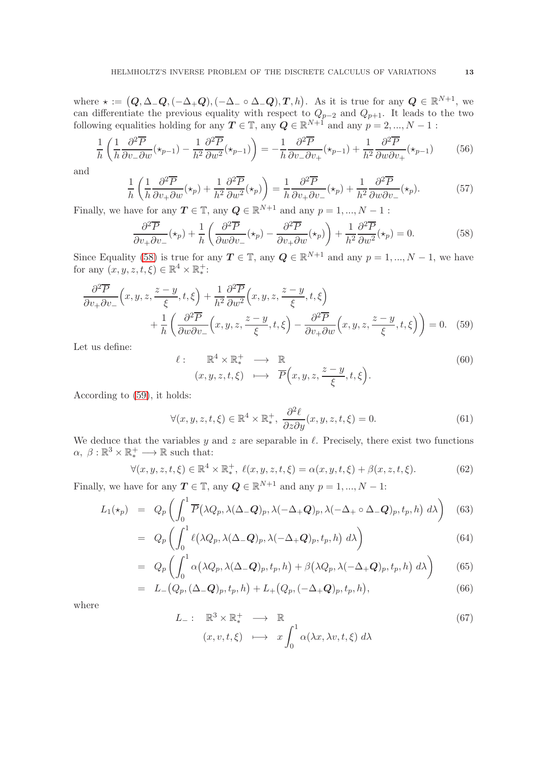where  $\star := (Q, \Delta \_Q, (-\Delta + Q), (-\Delta \_ \circ \Delta \_Q), T, h)$ . As it is true for any  $Q \in \mathbb{R}^{N+1}$ , we can differentiate the previous equality with respect to  $Q_{p-2}$  and  $Q_{p+1}$ . It leads to the two following equalities holding for any  $T \in \mathbb{T}$ , any  $Q \in \mathbb{R}^{N+1}$  and any  $p = 2, ..., N - 1$ :

$$
\frac{1}{h} \left( \frac{1}{h} \frac{\partial^2 \overline{P}}{\partial v_- \partial w} (\star_{p-1}) - \frac{1}{h^2} \frac{\partial^2 \overline{P}}{\partial w^2} (\star_{p-1}) \right) = -\frac{1}{h} \frac{\partial^2 \overline{P}}{\partial v_- \partial v_+} (\star_{p-1}) + \frac{1}{h^2} \frac{\partial^2 \overline{P}}{\partial w \partial v_+} (\star_{p-1}) \tag{56}
$$

and

$$
\frac{1}{h} \left( \frac{1}{h} \frac{\partial^2 \overline{P}}{\partial v_+ \partial w} (\star_p) + \frac{1}{h^2} \frac{\partial^2 \overline{P}}{\partial w^2} (\star_p) \right) = \frac{1}{h} \frac{\partial^2 \overline{P}}{\partial v_+ \partial v_-} (\star_p) + \frac{1}{h^2} \frac{\partial^2 \overline{P}}{\partial w \partial v_-} (\star_p). \tag{57}
$$

Finally, we have for any  $T \in \mathbb{T}$ , any  $Q \in \mathbb{R}^{N+1}$  and any  $p = 1, ..., N - 1$ :

<span id="page-12-0"></span>
$$
\frac{\partial^2 \overline{P}}{\partial v_+ \partial v_-}(\star_p) + \frac{1}{h} \left( \frac{\partial^2 \overline{P}}{\partial w \partial v_-}(\star_p) - \frac{\partial^2 \overline{P}}{\partial v_+ \partial w}(\star_p) \right) + \frac{1}{h^2} \frac{\partial^2 \overline{P}}{\partial w^2}(\star_p) = 0.
$$
 (58)

Since Equality [\(58\)](#page-12-0) is true for any  $T \in \mathbb{T}$ , any  $Q \in \mathbb{R}^{N+1}$  and any  $p = 1, ..., N - 1$ , we have for any  $(x, y, z, t, \xi) \in \mathbb{R}^4 \times \mathbb{R}_*^+$ :

$$
\frac{\partial^2 \overline{P}}{\partial v_+ \partial v_-} \left( x, y, z, \frac{z - y}{\xi}, t, \xi \right) + \frac{1}{h^2} \frac{\partial^2 \overline{P}}{\partial w^2} \left( x, y, z, \frac{z - y}{\xi}, t, \xi \right) \n+ \frac{1}{h} \left( \frac{\partial^2 \overline{P}}{\partial w \partial v_-} \left( x, y, z, \frac{z - y}{\xi}, t, \xi \right) - \frac{\partial^2 \overline{P}}{\partial v_+ \partial w} \left( x, y, z, \frac{z - y}{\xi}, t, \xi \right) \right) = 0. \quad (59)
$$

Let us define:

<span id="page-12-1"></span>
$$
\begin{array}{rcl}\n\colon & \mathbb{R}^4 \times \mathbb{R}_*^+ & \longrightarrow & \mathbb{R} \\
(x, y, z, t, \xi) & \longmapsto & \overline{P}\Big(x, y, z, \frac{z-y}{\xi}, t, \xi\Big).\n\end{array} \tag{60}
$$

According to [\(59\)](#page-12-1), it holds:

 $\ell$ 

$$
\forall (x, y, z, t, \xi) \in \mathbb{R}^4 \times \mathbb{R}_*^+, \ \frac{\partial^2 \ell}{\partial z \partial y}(x, y, z, t, \xi) = 0. \tag{61}
$$

We deduce that the variables y and z are separable in  $\ell$ . Precisely, there exist two functions  $\alpha, \beta : \mathbb{R}^3 \times \mathbb{R}^+_* \longrightarrow \mathbb{R}$  such that:

$$
\forall (x, y, z, t, \xi) \in \mathbb{R}^4 \times \mathbb{R}_*^+, \ \ell(x, y, z, t, \xi) = \alpha(x, y, t, \xi) + \beta(x, z, t, \xi). \tag{62}
$$

Finally, we have for any  $T \in \mathbb{T}$ , any  $Q \in \mathbb{R}^{N+1}$  and any  $p = 1, ..., N - 1$ :

$$
L_1(\star_p) = Q_p\left(\int_0^1 \overline{P}(\lambda Q_p, \lambda(\Delta - Q)_p, \lambda(-\Delta + Q)_p, \lambda(-\Delta_+ \circ \Delta - Q)_p, t_p, h) d\lambda\right)
$$
(63)

$$
= Q_p\left(\int_0^1 \ell(\lambda Q_p, \lambda(\Delta_- Q)_p, \lambda(-\Delta_+ Q)_p, t_p, h) \, d\lambda\right) \tag{64}
$$

$$
= Q_p\left(\int_0^1 \alpha(\lambda Q_p, \lambda(\Delta_- Q)_p, t_p, h) + \beta(\lambda Q_p, \lambda(-\Delta_+ Q)_p, t_p, h) d\lambda\right) \tag{65}
$$

$$
= L_{-}(Q_{p}, (\Delta_{-}Q)_{p}, t_{p}, h) + L_{+}(Q_{p}, (-\Delta_{+}Q)_{p}, t_{p}, h), \qquad (66)
$$

where

$$
L_{-}: \mathbb{R}^{3} \times \mathbb{R}_{*}^{+} \longrightarrow \mathbb{R}
$$
  
\n
$$
(x, v, t, \xi) \longmapsto x \int_{0}^{1} \alpha(\lambda x, \lambda v, t, \xi) d\lambda
$$
 (67)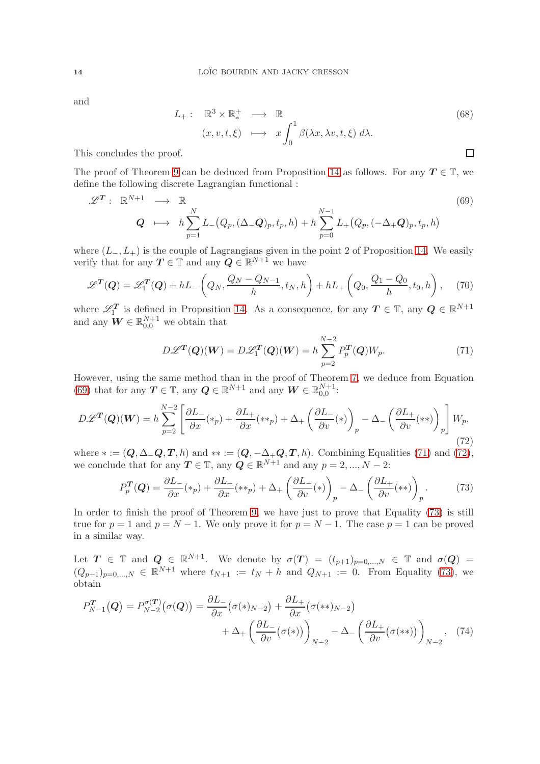and

$$
L_{+}: \mathbb{R}^{3} \times \mathbb{R}_{*}^{+} \longrightarrow \mathbb{R}
$$
  
\n
$$
(x, v, t, \xi) \longmapsto x \int_{0}^{1} \beta(\lambda x, \lambda v, t, \xi) d\lambda.
$$
  
\nof.

This concludes the proof.

The proof of Theorem 9 can be deduced from Proposition 14 as follows. For any  $T \in \mathbb{T}$ , we define the following discrete Lagrangian functional :

<span id="page-13-0"></span>
$$
\mathscr{L}^{\mathbf{T}}: \mathbb{R}^{N+1} \longrightarrow \mathbb{R}
$$
\n
$$
\mathbf{Q} \longmapsto h \sum_{p=1}^{N} L_{-}(Q_{p}, (\Delta_{-}\mathbf{Q})_{p}, t_{p}, h) + h \sum_{p=0}^{N-1} L_{+}(Q_{p}, (-\Delta_{+}\mathbf{Q})_{p}, t_{p}, h)
$$
\n(69)

where  $(L_-, L_+)$  is the couple of Lagrangians given in the point 2 of Proposition 14. We easily verify that for any  $T \in \mathbb{T}$  and any  $Q \in \mathbb{R}^{N+1}$  we have

$$
\mathscr{L}^T(\mathbf{Q}) = \mathscr{L}_1^T(\mathbf{Q}) + hL - \left(Q_N, \frac{Q_N - Q_{N-1}}{h}, t_N, h\right) + hL + \left(Q_0, \frac{Q_1 - Q_0}{h}, t_0, h\right), \tag{70}
$$

where  $\mathscr{L}_1^T$  is defined in Proposition 14. As a consequence, for any  $T \in \mathbb{T}$ , any  $Q \in \mathbb{R}^{N+1}$ and any  $\boldsymbol{W} \in \mathbb{R}_{0,0}^{N+1}$  we obtain that

<span id="page-13-1"></span>
$$
D\mathcal{L}^T(\mathbf{Q})(\mathbf{W}) = D\mathcal{L}_1^T(\mathbf{Q})(\mathbf{W}) = h \sum_{p=2}^{N-2} P_p^T(\mathbf{Q}) W_p.
$$
 (71)

However, using the same method than in the proof of Theorem 7, we deduce from Equation [\(69\)](#page-13-0) that for any  $T \in \mathbb{T}$ , any  $Q \in \mathbb{R}^{N+1}$  and any  $W \in \mathbb{R}_{0,0}^{N+1}$ :

<span id="page-13-2"></span>
$$
D\mathscr{L}^T(\mathbf{Q})(\mathbf{W}) = h \sum_{p=2}^{N-2} \left[ \frac{\partial L_-}{\partial x}(*_p) + \frac{\partial L_+}{\partial x}(*_p) + \Delta_+ \left( \frac{\partial L_-}{\partial v}(*) \right)_p - \Delta_- \left( \frac{\partial L_+}{\partial v}(**) \right)_p \right] W_p,
$$
\n(72)

where  $* := (Q, \Delta_{-}Q, T, h)$  and  $** := (Q, -\Delta_{+}Q, T, h)$ . Combining Equalities [\(71\)](#page-13-1) and [\(72\)](#page-13-2), we conclude that for any  $T \in \mathbb{T}$ , any  $Q \in \mathbb{R}^{N+1}$  and any  $p = 2, ..., N - 2$ :

<span id="page-13-3"></span>
$$
P_p^T(Q) = \frac{\partial L_-}{\partial x}(*_p) + \frac{\partial L_+}{\partial x}(**_p) + \Delta_+ \left(\frac{\partial L_-}{\partial v}(*)\right)_p - \Delta_- \left(\frac{\partial L_+}{\partial v}(**)\right)_p.
$$
 (73)

In order to finish the proof of Theorem 9, we have just to prove that Equality [\(73\)](#page-13-3) is still true for  $p = 1$  and  $p = N - 1$ . We only prove it for  $p = N - 1$ . The case  $p = 1$  can be proved in a similar way.

Let  $T \in \mathbb{T}$  and  $Q \in \mathbb{R}^{N+1}$ . We denote by  $\sigma(T) = (t_{p+1})_{p=0,\dots,N} \in \mathbb{T}$  and  $\sigma(Q)$  $(Q_{p+1})_{p=0,...,N} \in \mathbb{R}^{N+1}$  where  $t_{N+1} := t_N + h$  and  $Q_{N+1} := 0$ . From Equality [\(73\)](#page-13-3), we obtain

$$
P_{N-1}^{T}(Q) = P_{N-2}^{\sigma(T)}(\sigma(Q)) = \frac{\partial L_{-}}{\partial x}(\sigma(*)_{N-2}) + \frac{\partial L_{+}}{\partial x}(\sigma(**_{N-2}) + \Delta_{+} \left(\frac{\partial L_{-}}{\partial v}(\sigma(*)_{N})\right)_{N-2} - \Delta_{-} \left(\frac{\partial L_{+}}{\partial v}(\sigma(**))\right)_{N-2}, \quad (74)
$$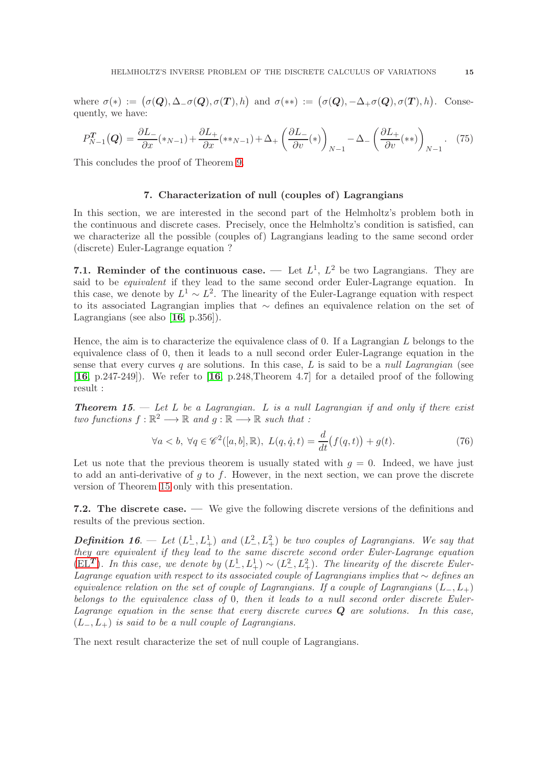where  $\sigma(*) := (\sigma(Q), \Delta \_ \sigma(Q), \sigma(T), h)$  and  $\sigma(**) := (\sigma(Q), -\Delta_+ \sigma(Q), \sigma(T), h)$ . Consequently, we have:

$$
P_{N-1}^T(Q) = \frac{\partial L_-}{\partial x}(*_N{}_{-1}) + \frac{\partial L_+}{\partial x}(*_N{}_{-1}) + \Delta_+ \left(\frac{\partial L_-}{\partial v}(*)\right)_{N-1} - \Delta_- \left(\frac{\partial L_+}{\partial v}(**)\right)_{N-1}.\tag{75}
$$

<span id="page-14-0"></span>This concludes the proof of Theorem 9.

#### 7. Characterization of null (couples of) Lagrangians

In this section, we are interested in the second part of the Helmholtz's problem both in the continuous and discrete cases. Precisely, once the Helmholtz's condition is satisfied, can we characterize all the possible (couples of) Lagrangians leading to the same second order (discrete) Euler-Lagrange equation ?

<span id="page-14-1"></span>7.1. Reminder of the continuous case. — Let  $L^1$ ,  $L^2$  be two Lagrangians. They are said to be *equivalent* if they lead to the same second order Euler-Lagrange equation. In this case, we denote by  $L^1 \sim L^2$ . The linearity of the Euler-Lagrange equation with respect to its associated Lagrangian implies that ∼ defines an equivalence relation on the set of Lagrangians (see also  $[16, p.356]$  $[16, p.356]$  $[16, p.356]$ ).

Hence, the aim is to characterize the equivalence class of  $0$ . If a Lagrangian L belongs to the equivalence class of 0, then it leads to a null second order Euler-Lagrange equation in the sense that every curves  $q$  are solutions. In this case,  $L$  is said to be a *null Lagrangian* (see  $[16, p.247-249]$  $[16, p.247-249]$  $[16, p.247-249]$ . We refer to  $[16, p.248$ , Theorem 4.7 for a detailed proof of the following result :

**Theorem 15.** — Let L be a Lagrangian. L is a null Lagrangian if and only if there exist two functions  $f : \mathbb{R}^2 \longrightarrow \mathbb{R}$  and  $g : \mathbb{R} \longrightarrow \mathbb{R}$  such that :

$$
\forall a < b, \ \forall q \in \mathscr{C}^2([a, b], \mathbb{R}), \ L(q, \dot{q}, t) = \frac{d}{dt}(f(q, t)) + g(t). \tag{76}
$$

Let us note that the previous theorem is usually stated with  $q = 0$ . Indeed, we have just to add an anti-derivative of  $g$  to  $f$ . However, in the next section, we can prove the discrete version of Theorem 15 only with this presentation.

<span id="page-14-2"></span>7.2. The discrete case. — We give the following discrete versions of the definitions and results of the previous section.

**Definition 16.**  $\leftarrow$  Let  $(L^1_-, L^1_+)$  and  $(L^2_-, L^2_+)$  be two couples of Lagrangians. We say that they are equivalent if they lead to the same discrete second order Euler-Lagrange equation  $(E\ddot{L}^T)$ . In this case, we denote by  $(L^1_-, L^1_+) \sim (L^2_-, L^2_+)$ . The linearity of the discrete Euler-Lagrange equation with respect to its associated couple of Lagrangians implies that  $∼$  defines an equivalence relation on the set of couple of Lagrangians. If a couple of Lagrangians  $(L_-, L_+)$ belongs to the equivalence class of 0, then it leads to a null second order discrete Euler-Lagrange equation in the sense that every discrete curves  $Q$  are solutions. In this case,  $(L_-, L_+)$  is said to be a null couple of Lagrangians.

The next result characterize the set of null couple of Lagrangians.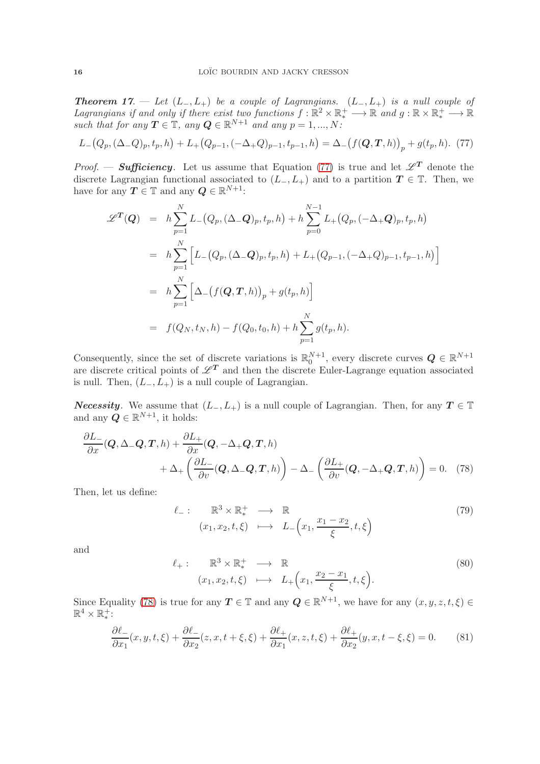**Theorem 17.** — Let  $(L_-, L_+)$  be a couple of Lagrangians.  $(L_-, L_+)$  is a null couple of Lagrangians if and only if there exist two functions  $f : \mathbb{R}^2 \times \mathbb{R}_*^+ \longrightarrow \mathbb{R}$  and  $g : \mathbb{R} \times \mathbb{R}_*^+ \longrightarrow \mathbb{R}$ such that for any  $T \in \mathbb{T}$ , any  $Q \in \mathbb{R}^{N+1}$  and any  $p = 1, ..., N$ :

<span id="page-15-0"></span>
$$
L_{-}(Q_{p}, (\Delta_{-}Q)_{p}, t_{p}, h) + L_{+}(Q_{p-1}, (-\Delta_{+}Q)_{p-1}, t_{p-1}, h) = \Delta_{-}(f(Q, T, h))_{p} + g(t_{p}, h). \tag{77}
$$

*Proof.* — **Sufficiency**. Let us assume that Equation [\(77\)](#page-15-0) is true and let  $\mathscr{L}^T$  denote the discrete Lagrangian functional associated to  $(L_-, L_+)$  and to a partition  $T \in \mathbb{T}$ . Then, we have for any  $T \in \mathbb{T}$  and any  $Q \in \mathbb{R}^{N+1}$ :

$$
\mathscr{L}^{T}(Q) = h \sum_{p=1}^{N} L_{-}(Q_{p}, (\Delta_{-}Q)_{p}, t_{p}, h) + h \sum_{p=0}^{N-1} L_{+}(Q_{p}, (-\Delta_{+}Q)_{p}, t_{p}, h)
$$
  
\n
$$
= h \sum_{p=1}^{N} \left[ L_{-}(Q_{p}, (\Delta_{-}Q)_{p}, t_{p}, h) + L_{+}(Q_{p-1}, (-\Delta_{+}Q)_{p-1}, t_{p-1}, h) \right]
$$
  
\n
$$
= h \sum_{p=1}^{N} \left[ \Delta_{-}(f(Q, T, h))_{p} + g(t_{p}, h) \right]
$$
  
\n
$$
= f(Q_{N}, t_{N}, h) - f(Q_{0}, t_{0}, h) + h \sum_{p=1}^{N} g(t_{p}, h).
$$

Consequently, since the set of discrete variations is  $\mathbb{R}_0^{N+1}$ , every discrete curves  $Q \in \mathbb{R}^{N+1}$ are discrete critical points of  $\mathscr{L}^T$  and then the discrete Euler-Lagrange equation associated is null. Then,  $(L_-, L_+)$  is a null couple of Lagrangian.

*Necessity.* We assume that  $(L_-, L_+)$  is a null couple of Lagrangian. Then, for any  $T \in \mathbb{T}$ and any  $\mathbf{Q} \in \mathbb{R}^{N+1}$ , it holds:

$$
\frac{\partial L_{-}}{\partial x}(\boldsymbol{Q}, \Delta_{-}\boldsymbol{Q}, \boldsymbol{T}, h) + \frac{\partial L_{+}}{\partial x}(\boldsymbol{Q}, -\Delta_{+}\boldsymbol{Q}, \boldsymbol{T}, h) + \Delta_{+} \left( \frac{\partial L_{-}}{\partial v}(\boldsymbol{Q}, \Delta_{-}\boldsymbol{Q}, \boldsymbol{T}, h) \right) - \Delta_{-} \left( \frac{\partial L_{+}}{\partial v}(\boldsymbol{Q}, -\Delta_{+}\boldsymbol{Q}, \boldsymbol{T}, h) \right) = 0. \quad (78)
$$

Then, let us define:

<span id="page-15-1"></span>
$$
\ell_{-}: \mathbb{R}^{3} \times \mathbb{R}_{*}^{+} \longrightarrow \mathbb{R}
$$
  
\n
$$
(x_{1}, x_{2}, t, \xi) \longmapsto L_{-}\left(x_{1}, \frac{x_{1} - x_{2}}{\xi}, t, \xi\right)
$$
\n
$$
(79)
$$

and

$$
\ell_{+}: \mathbb{R}^{3} \times \mathbb{R}_{*}^{+} \longrightarrow \mathbb{R}
$$
  
\n
$$
(x_{1}, x_{2}, t, \xi) \longmapsto L_{+}\left(x_{1}, \frac{x_{2} - x_{1}}{\xi}, t, \xi\right).
$$
 (80)

Since Equality [\(78\)](#page-15-1) is true for any  $T \in \mathbb{T}$  and any  $Q \in \mathbb{R}^{N+1}$ , we have for any  $(x, y, z, t, \xi) \in$  $\mathbb{R}^4 \times \mathbb{R}^+$ :

$$
\frac{\partial \ell_-}{\partial x_1}(x, y, t, \xi) + \frac{\partial \ell_-}{\partial x_2}(z, x, t + \xi, \xi) + \frac{\partial \ell_+}{\partial x_1}(x, z, t, \xi) + \frac{\partial \ell_+}{\partial x_2}(y, x, t - \xi, \xi) = 0. \tag{81}
$$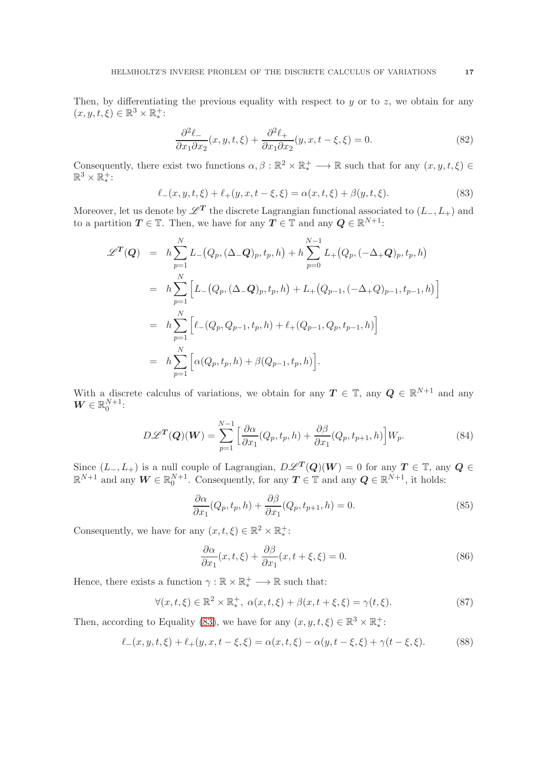Then, by differentiating the previous equality with respect to  $y$  or to  $z$ , we obtain for any  $(x, y, t, \xi) \in \mathbb{R}^3 \times \mathbb{R}^+$ :

$$
\frac{\partial^2 \ell_-}{\partial x_1 \partial x_2}(x, y, t, \xi) + \frac{\partial^2 \ell_+}{\partial x_1 \partial x_2}(y, x, t - \xi, \xi) = 0.
$$
\n(82)

Consequently, there exist two functions  $\alpha, \beta : \mathbb{R}^2 \times \mathbb{R}_*^+ \longrightarrow \mathbb{R}$  such that for any  $(x, y, t, \xi) \in$  $\mathbb{R}^3 \times \overline{\mathbb{R}}_*^+$ :

<span id="page-16-0"></span>
$$
\ell_{-}(x, y, t, \xi) + \ell_{+}(y, x, t - \xi, \xi) = \alpha(x, t, \xi) + \beta(y, t, \xi). \tag{83}
$$

Moreover, let us denote by  $\mathscr{L}^T$  the discrete Lagrangian functional associated to  $(L_-, L_+)$  and to a partition  $T \in \mathbb{T}$ . Then, we have for any  $T \in \mathbb{T}$  and any  $Q \in \mathbb{R}^{N+1}$ :

$$
\mathscr{L}^T(Q) = h \sum_{p=1}^N L_-(Q_p, (\Delta_- Q)_p, t_p, h) + h \sum_{p=0}^{N-1} L_+(Q_p, (-\Delta_+ Q)_p, t_p, h)
$$
  
\n
$$
= h \sum_{p=1}^N \left[ L_-(Q_p, (\Delta_- Q)_p, t_p, h) + L_+(Q_{p-1}, (-\Delta_+ Q)_{p-1}, t_{p-1}, h) \right]
$$
  
\n
$$
= h \sum_{p=1}^N \left[ \ell_-(Q_p, Q_{p-1}, t_p, h) + \ell_+(Q_{p-1}, Q_p, t_{p-1}, h) \right]
$$
  
\n
$$
= h \sum_{p=1}^N \left[ \alpha(Q_p, t_p, h) + \beta(Q_{p-1}, t_p, h) \right].
$$

With a discrete calculus of variations, we obtain for any  $T \in \mathbb{T}$ , any  $Q \in \mathbb{R}^{N+1}$  and any  $\boldsymbol{W} \in \mathbb{R}_0^{N+1}$ :

$$
D\mathscr{L}^{\mathbf{T}}(\mathbf{Q})(\mathbf{W}) = \sum_{p=1}^{N-1} \left[ \frac{\partial \alpha}{\partial x_1} (Q_p, t_p, h) + \frac{\partial \beta}{\partial x_1} (Q_p, t_{p+1}, h) \right] W_p. \tag{84}
$$

Since  $(L_-, L_+)$  is a null couple of Lagrangian,  $D\mathscr{L}^T(Q)(W) = 0$  for any  $T \in \mathbb{T}$ , any  $Q \in$  $\mathbb{R}^{N+1}$  and any  $\mathbf{W} \in \mathbb{R}_0^{N+1}$ . Consequently, for any  $\mathbf{T} \in \mathbb{T}$  and any  $\mathbf{Q} \in \mathbb{R}^{N+1}$ , it holds:

$$
\frac{\partial \alpha}{\partial x_1}(Q_p, t_p, h) + \frac{\partial \beta}{\partial x_1}(Q_p, t_{p+1}, h) = 0.
$$
\n(85)

Consequently, we have for any  $(x, t, \xi) \in \mathbb{R}^2 \times \mathbb{R}_*^+$ :

$$
\frac{\partial \alpha}{\partial x_1}(x, t, \xi) + \frac{\partial \beta}{\partial x_1}(x, t + \xi, \xi) = 0.
$$
\n(86)

Hence, there exists a function  $\gamma : \mathbb{R} \times \mathbb{R}^+_* \longrightarrow \mathbb{R}$  such that:

$$
\forall (x, t, \xi) \in \mathbb{R}^2 \times \mathbb{R}_*^+, \ \alpha(x, t, \xi) + \beta(x, t + \xi, \xi) = \gamma(t, \xi). \tag{87}
$$

Then, according to Equality [\(83\)](#page-16-0), we have for any  $(x, y, t, \xi) \in \mathbb{R}^3 \times \mathbb{R}_*^+$ :

$$
\ell_{-}(x, y, t, \xi) + \ell_{+}(y, x, t - \xi, \xi) = \alpha(x, t, \xi) - \alpha(y, t - \xi, \xi) + \gamma(t - \xi, \xi). \tag{88}
$$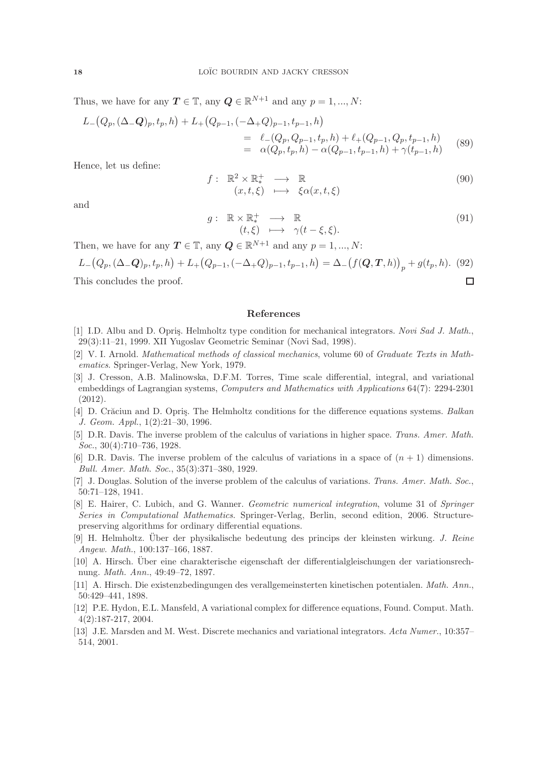Thus, we have for any  $T \in \mathbb{T}$ , any  $Q \in \mathbb{R}^{N+1}$  and any  $p = 1, ..., N$ :

$$
L_{-}(Q_{p}, (\Delta_{-}Q)_{p}, t_{p}, h) + L_{+}(Q_{p-1}, (-\Delta_{+}Q)_{p-1}, t_{p-1}, h)
$$
  
= 
$$
\ell_{-}(Q_{p}, Q_{p-1}, t_{p}, h) + \ell_{+}(Q_{p-1}, Q_{p}, t_{p-1}, h)
$$
  
= 
$$
\alpha(Q_{p}, t_{p}, h) - \alpha(Q_{p-1}, t_{p-1}, h) + \gamma(t_{p-1}, h)
$$
(89)

Hence, let us define:

$$
f: \mathbb{R}^2 \times \mathbb{R}^+_* \longrightarrow \mathbb{R}
$$
  
\n
$$
(x, t, \xi) \longmapsto \xi \alpha(x, t, \xi)
$$
  
\n(90)

and

$$
g: \mathbb{R} \times \mathbb{R}_{*}^{+} \longrightarrow \mathbb{R}
$$
  
\n
$$
(t,\xi) \longmapsto \gamma(t-\xi,\xi).
$$
\n(91)

 $\Box$ 

Then, we have for any  $T \in \mathbb{T}$ , any  $Q \in \mathbb{R}^{N+1}$  and any  $p = 1, ..., N$ :

$$
L_{-}(Q_{p}, (\Delta_{-}Q)_{p}, t_{p}, h) + L_{+}(Q_{p-1}, (-\Delta_{+}Q)_{p-1}, t_{p-1}, h) = \Delta_{-}(f(Q, T, h))_{p} + g(t_{p}, h). (92)
$$

This concludes the proof.

### <span id="page-17-0"></span>References

- <span id="page-17-10"></span>[1] I.D. Albu and D. Opris. Helmholtz type condition for mechanical integrators. Novi Sad J. Math., 29(3):11–21, 1999. XII Yugoslav Geometric Seminar (Novi Sad, 1998).
- <span id="page-17-13"></span>[2] V. I. Arnold. Mathematical methods of classical mechanics, volume 60 of Graduate Texts in Mathematics. Springer-Verlag, New York, 1979.
- <span id="page-17-9"></span>[3] J. Cresson, A.B. Malinowska, D.F.M. Torres, Time scale differential, integral, and variational embeddings of Lagrangian systems, Computers and Mathematics with Applications 64(7): 2294-2301 (2012).
- <span id="page-17-11"></span>[4] D. Crăciun and D. Opriş. The Helmholtz conditions for the difference equations systems. Balkan J. Geom. Appl., 1(2):21–30, 1996.
- <span id="page-17-5"></span>[5] D.R. Davis. The inverse problem of the calculus of variations in higher space. Trans. Amer. Math. Soc., 30(4):710–736, 1928.
- <span id="page-17-6"></span>[6] D.R. Davis. The inverse problem of the calculus of variations in a space of  $(n + 1)$  dimensions. Bull. Amer. Math. Soc., 35(3):371–380, 1929.
- <span id="page-17-1"></span>[7] J. Douglas. Solution of the inverse problem of the calculus of variations. Trans. Amer. Math. Soc., 50:71–128, 1941.
- <span id="page-17-7"></span>[8] E. Hairer, C. Lubich, and G. Wanner. *Geometric numerical integration*, volume 31 of Springer Series in Computational Mathematics. Springer-Verlag, Berlin, second edition, 2006. Structurepreserving algorithms for ordinary differential equations.
- <span id="page-17-2"></span>[9] H. Helmholtz. Über der physikalische bedeutung des princips der kleinsten wirkung. J. Reine Angew. Math., 100:137–166, 1887.
- <span id="page-17-3"></span>[10] A. Hirsch. Über eine charakterische eigenschaft der differentialgleischungen der variationsrechnung. Math. Ann., 49:49–72, 1897.
- <span id="page-17-4"></span>[11] A. Hirsch. Die existenzbedingungen des verallgemeinsterten kinetischen potentialen. Math. Ann., 50:429–441, 1898.
- <span id="page-17-12"></span>[12] P.E. Hydon, E.L. Mansfeld, A variational complex for difference equations, Found. Comput. Math. 4(2):187-217, 2004.
- <span id="page-17-8"></span>[13] J.E. Marsden and M. West. Discrete mechanics and variational integrators. Acta Numer., 10:357– 514, 2001.